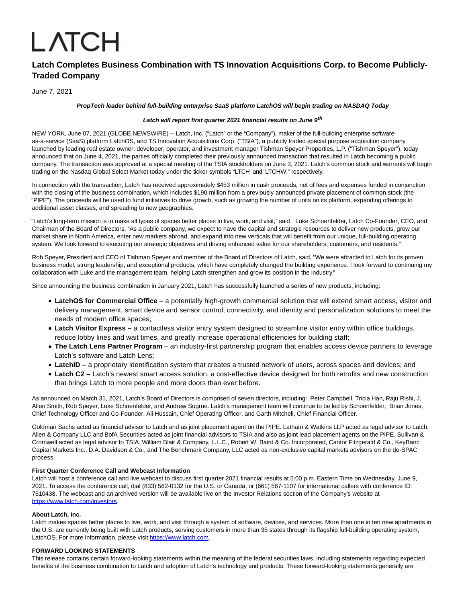# **LATCH**

# **Latch Completes Business Combination with TS Innovation Acquisitions Corp. to Become Publicly-Traded Company**

June 7, 2021

# **PropTech leader behind full-building enterprise SaaS platform LatchOS will begin trading on NASDAQ Today**

# **Latch will report first quarter 2021 financial results on June 9th**

NEW YORK, June 07, 2021 (GLOBE NEWSWIRE) -- Latch, Inc. ("Latch" or the "Company"), maker of the full-building enterprise softwareas-a-service (SaaS) platform LatchOS, and TS Innovation Acquisitions Corp. ("TSIA"), a publicly traded special purpose acquisition company launched by leading real estate owner, developer, operator, and investment manager Tishman Speyer Properties, L.P. ("Tishman Speyer"), today announced that on June 4, 2021, the parties officially completed their previously announced transaction that resulted in Latch becoming a public company. The transaction was approved at a special meeting of the TSIA stockholders on June 3, 2021. Latch's common stock and warrants will begin trading on the Nasdaq Global Select Market today under the ticker symbols "LTCH" and "LTCHW," respectively.

In connection with the transaction, Latch has received approximately \$453 million in cash proceeds, net of fees and expenses funded in conjunction with the closing of the business combination, which includes \$190 million from a previously announced private placement of common stock (the "PIPE"). The proceeds will be used to fund initiatives to drive growth, such as growing the number of units on its platform, expanding offerings to additional asset classes, and spreading to new geographies.

"Latch's long-term mission is to make all types of spaces better places to live, work, and visit," said Luke Schoenfelder, Latch Co-Founder, CEO, and Chairman of the Board of Directors. "As a public company, we expect to have the capital and strategic resources to deliver new products, grow our market share in North America, enter new markets abroad, and expand into new verticals that will benefit from our unique, full-building operating system. We look forward to executing our strategic objectives and driving enhanced value for our shareholders, customers, and residents."

Rob Speyer, President and CEO of Tishman Speyer and member of the Board of Directors of Latch, said, "We were attracted to Latch for its proven business model, strong leadership, and exceptional products, which have completely changed the building experience. I look forward to continuing my collaboration with Luke and the management team, helping Latch strengthen and grow its position in the industry."

Since announcing the business combination in January 2021, Latch has successfully launched a series of new products, including:

- **LatchOS for Commercial Office** a potentially high-growth commercial solution that will extend smart access, visitor and delivery management, smart device and sensor control, connectivity, and identity and personalization solutions to meet the needs of modern office spaces;
- **Latch Visitor Express** a contactless visitor entry system designed to streamline visitor entry within office buildings, reduce lobby lines and wait times, and greatly increase operational efficiencies for building staff;
- **The Latch Lens Partner Program** an industry-first partnership program that enables access device partners to leverage Latch's software and Latch Lens;
- **LatchID** a proprietary identification system that creates a trusted network of users, across spaces and devices; and
- **Latch C2** Latch's newest smart access solution, a cost-effective device designed for both retrofits and new construction that brings Latch to more people and more doors than ever before.

As announced on March 31, 2021, Latch's Board of Directors is comprised of seven directors, including: Peter Campbell, Tricia Han, Raju Rishi, J. Allen Smith, Rob Speyer, Luke Schoenfelder, and Andrew Sugrue. Latch's management team will continue to be led by Schoenfelder, Brian Jones, Chief Technology Officer and Co-Founder, Ali Hussain, Chief Operating Officer, and Garth Mitchell, Chief Financial Officer.

Goldman Sachs acted as financial advisor to Latch and as joint placement agent on the PIPE. Latham & Watkins LLP acted as legal advisor to Latch. Allen & Company LLC and BofA Securities acted as joint financial advisors to TSIA and also as joint lead placement agents on the PIPE. Sullivan & Cromwell acted as legal advisor to TSIA. William Blair & Company, L.L.C., Robert W. Baird & Co. Incorporated, Cantor Fitzgerald & Co., KeyBanc Capital Markets Inc., D.A. Davidson & Co., and The Benchmark Company, LLC acted as non-exclusive capital markets advisors on the de-SPAC process.

# **First Quarter Conference Call and Webcast Information**

Latch will host a conference call and live webcast to discuss first quarter 2021 financial results at 5:00 p.m. Eastern Time on Wednesday, June 9, 2021. To access the conference call, dial (833) 562-0132 for the U.S. or Canada, or (661) 567-1107 for international callers with conference ID: 7510438. The webcast and an archived version will be available live on the Investor Relations section of the Company's website at [https://www.latch.com/investors.](https://www.globenewswire.com/Tracker?data=utIGZnfPb6DdBJCeVpk7BCO_kyT4h9hd2c_NrDQzvvp57NY1p9l1d4hVXdOjnwgSDt9fK-xLY4NgtVcXyyWofxEKgpbBOn1R3u3KOFiN8cClXaRt4qVwTvtXBxAbZVFm)

#### **About Latch, Inc.**

Latch makes spaces better places to live, work, and visit through a system of software, devices, and services. More than one in ten new apartments in the U.S. are currently being built with Latch products, serving customers in more than 35 states through its flagship full-building operating system, LatchOS. For more information, please visit [https://www.latch.com.](https://www.globenewswire.com/Tracker?data=utIGZnfPb6DdBJCeVpk7BFd7DEXCtTRAQbpNc9py1dUO_qe159eQugJOvJSMlsjspvTwOdGZDn-GnGswCMjPZn3GQz9r1tGMRXc1QARWYvM=)

#### **FORWARD LOOKING STATEMENTS**

This release contains certain forward-looking statements within the meaning of the federal securities laws, including statements regarding expected benefits of the business combination to Latch and adoption of Latch's technology and products. These forward-looking statements generally are